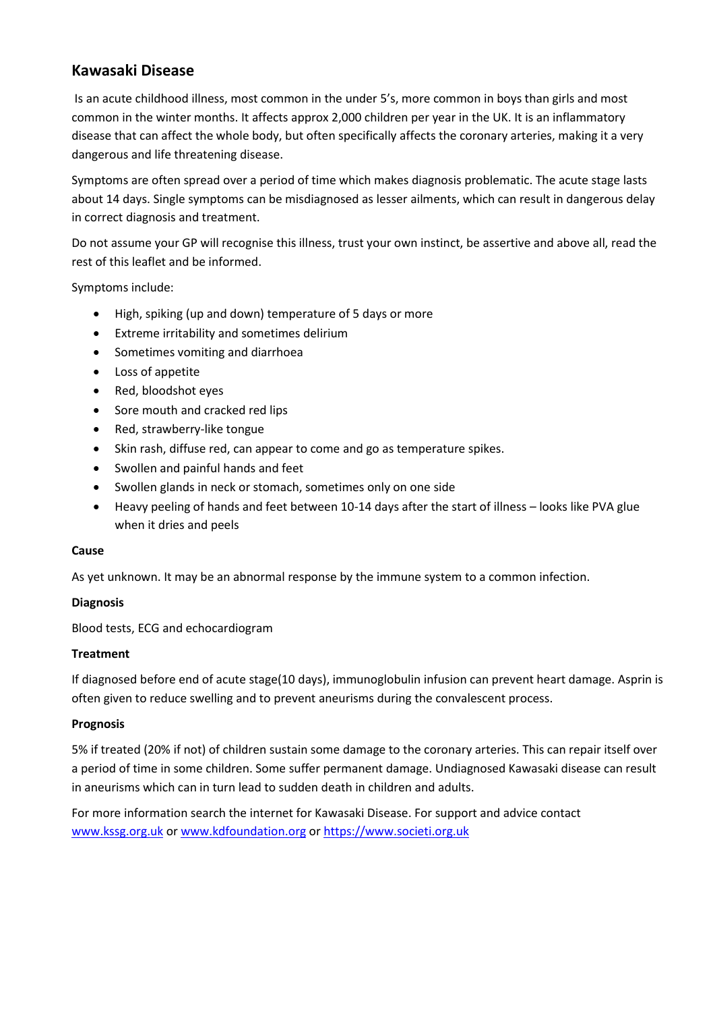# **Kawasaki Disease**

Is an acute childhood illness, most common in the under 5's, more common in boys than girls and most common in the winter months. It affects approx 2,000 children per year in the UK. It is an inflammatory disease that can affect the whole body, but often specifically affects the coronary arteries, making it a very dangerous and life threatening disease.

Symptoms are often spread over a period of time which makes diagnosis problematic. The acute stage lasts about 14 days. Single symptoms can be misdiagnosed as lesser ailments, which can result in dangerous delay in correct diagnosis and treatment.

Do not assume your GP will recognise this illness, trust your own instinct, be assertive and above all, read the rest of this leaflet and be informed.

Symptoms include:

- High, spiking (up and down) temperature of 5 days or more
- Extreme irritability and sometimes delirium
- Sometimes vomiting and diarrhoea
- Loss of appetite
- Red, bloodshot eyes
- Sore mouth and cracked red lips
- Red, strawberry-like tongue
- Skin rash, diffuse red, can appear to come and go as temperature spikes.
- Swollen and painful hands and feet
- Swollen glands in neck or stomach, sometimes only on one side
- Heavy peeling of hands and feet between 10-14 days after the start of illness looks like PVA glue when it dries and peels

#### **Cause**

As yet unknown. It may be an abnormal response by the immune system to a common infection.

# **Diagnosis**

Blood tests, ECG and echocardiogram

# **Treatment**

If diagnosed before end of acute stage(10 days), immunoglobulin infusion can prevent heart damage. Asprin is often given to reduce swelling and to prevent aneurisms during the convalescent process.

# **Prognosis**

5% if treated (20% if not) of children sustain some damage to the coronary arteries. This can repair itself over a period of time in some children. Some suffer permanent damage. Undiagnosed Kawasaki disease can result in aneurisms which can in turn lead to sudden death in children and adults.

For more information search the internet for Kawasaki Disease. For support and advice contact [www.kssg.org.uk](http://www.kssg.org.uk/) o[r www.kdfoundation.org](http://www.kdfoundation.org/) o[r https://www.societi.org.uk](https://www.societi.org.uk/)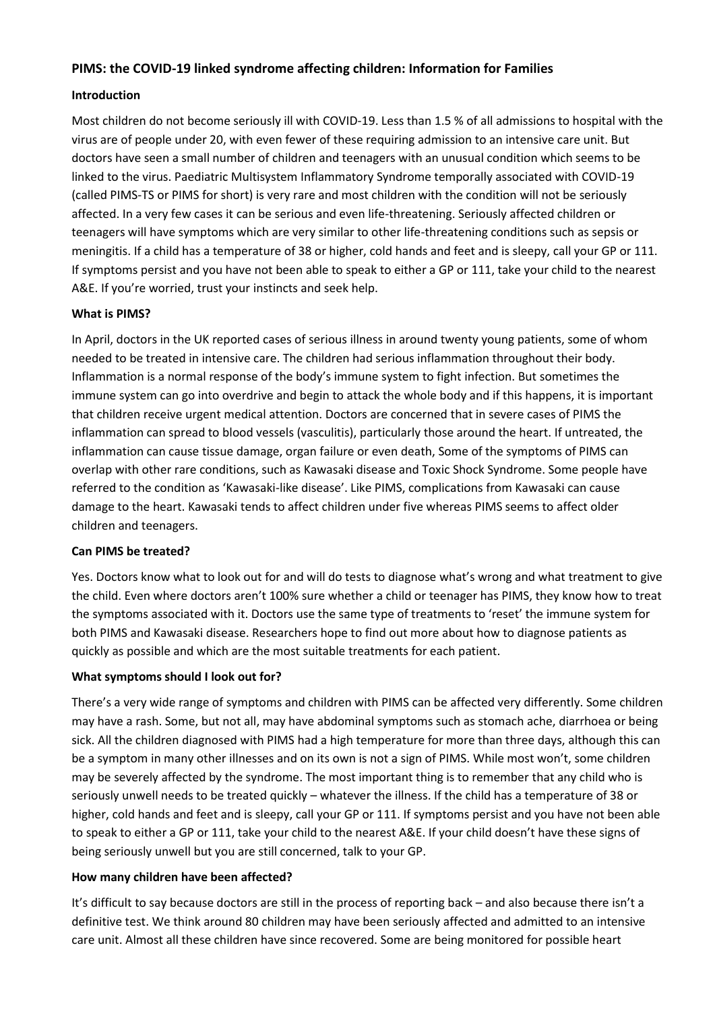### **PIMS: the COVID-19 linked syndrome affecting children: Information for Families**

### **Introduction**

Most children do not become seriously ill with COVID-19. Less than 1.5 % of all admissions to hospital with the virus are of people under 20, with even fewer of these requiring admission to an intensive care unit. But doctors have seen a small number of children and teenagers with an unusual condition which seems to be linked to the virus. Paediatric Multisystem Inflammatory Syndrome temporally associated with COVID-19 (called PIMS-TS or PIMS for short) is very rare and most children with the condition will not be seriously affected. In a very few cases it can be serious and even life-threatening. Seriously affected children or teenagers will have symptoms which are very similar to other life-threatening conditions such as sepsis or meningitis. If a child has a temperature of 38 or higher, cold hands and feet and is sleepy, call your GP or 111. If symptoms persist and you have not been able to speak to either a GP or 111, take your child to the nearest A&E. If you're worried, trust your instincts and seek help.

### **What is PIMS?**

In April, doctors in the UK reported cases of serious illness in around twenty young patients, some of whom needed to be treated in intensive care. The children had serious inflammation throughout their body. Inflammation is a normal response of the body's immune system to fight infection. But sometimes the immune system can go into overdrive and begin to attack the whole body and if this happens, it is important that children receive urgent medical attention. Doctors are concerned that in severe cases of PIMS the inflammation can spread to blood vessels (vasculitis), particularly those around the heart. If untreated, the inflammation can cause tissue damage, organ failure or even death, Some of the symptoms of PIMS can overlap with other rare conditions, such as Kawasaki disease and Toxic Shock Syndrome. Some people have referred to the condition as 'Kawasaki-like disease'. Like PIMS, complications from Kawasaki can cause damage to the heart. Kawasaki tends to affect children under five whereas PIMS seems to affect older children and teenagers.

#### **Can PIMS be treated?**

Yes. Doctors know what to look out for and will do tests to diagnose what's wrong and what treatment to give the child. Even where doctors aren't 100% sure whether a child or teenager has PIMS, they know how to treat the symptoms associated with it. Doctors use the same type of treatments to 'reset' the immune system for both PIMS and Kawasaki disease. Researchers hope to find out more about how to diagnose patients as quickly as possible and which are the most suitable treatments for each patient.

#### **What symptoms should I look out for?**

There's a very wide range of symptoms and children with PIMS can be affected very differently. Some children may have a rash. Some, but not all, may have abdominal symptoms such as stomach ache, diarrhoea or being sick. All the children diagnosed with PIMS had a high temperature for more than three days, although this can be a symptom in many other illnesses and on its own is not a sign of PIMS. While most won't, some children may be severely affected by the syndrome. The most important thing is to remember that any child who is seriously unwell needs to be treated quickly – whatever the illness. If the child has a temperature of 38 or higher, cold hands and feet and is sleepy, call your GP or 111. If symptoms persist and you have not been able to speak to either a GP or 111, take your child to the nearest A&E. If your child doesn't have these signs of being seriously unwell but you are still concerned, talk to your GP.

#### **How many children have been affected?**

It's difficult to say because doctors are still in the process of reporting back – and also because there isn't a definitive test. We think around 80 children may have been seriously affected and admitted to an intensive care unit. Almost all these children have since recovered. Some are being monitored for possible heart